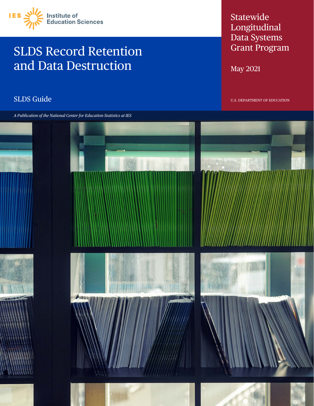

# SLDS Record Retention and Data Destruction

# SLDS Guide U.S. DEPARTMENT OF EDUCATION

*A Publication of the National Center for Education Statistics at IES*

# Statewide Longitudinal Data Systems Grant Program

May 2021

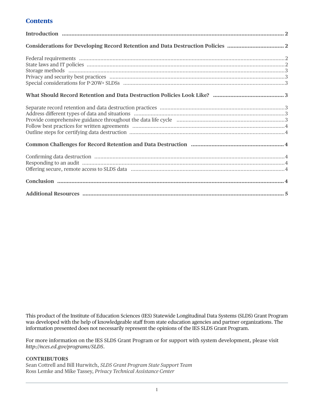# **Contents**

| Considerations for Developing Record Retention and Data Destruction Policies  2 |  |
|---------------------------------------------------------------------------------|--|
|                                                                                 |  |
|                                                                                 |  |
|                                                                                 |  |
|                                                                                 |  |
|                                                                                 |  |
|                                                                                 |  |
|                                                                                 |  |
|                                                                                 |  |
|                                                                                 |  |
|                                                                                 |  |
|                                                                                 |  |
|                                                                                 |  |
|                                                                                 |  |
|                                                                                 |  |
|                                                                                 |  |

This product of the Institute of Education Sciences (IES) Statewide Longitudinal Data Systems (SLDS) Grant Program was developed with the help of knowledgeable staff from state education agencies and partner organizations. The information presented does not necessarily represent the opinions of the IES SLDS Grant Program.

For more information on the IES SLDS Grant Program or for support with system development, please visit http://nces.ed.gov/programs/SLDS.

# **CONTRIBUTORS**

Sean Cottrell and Bill Hurwitch, SLDS Grant Program State Support Team Ross Lemke and Mike Tassey, Privacy Technical Assistance Center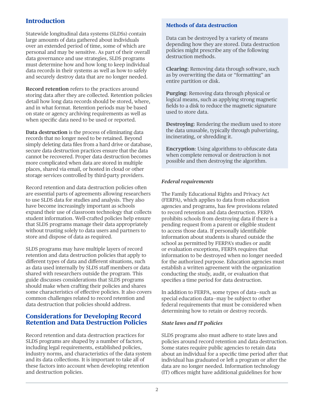# <span id="page-2-0"></span>**Introduction**

Statewide longitudinal data systems (SLDSs) contain large amounts of data gathered about individuals over an extended period of time, some of which are personal and may be sensitive. As part of their overall data governance and use strategies, SLDS programs must determine how and how long to keep individual data records in their systems as well as how to safely and securely destroy data that are no longer needed.

**Record retention** refers to the practices around storing data after they are collected. Retention policies detail how long data records should be stored, where, and in what format. Retention periods may be based on state or agency archiving requirements as well as when specific data need to be used or reported.

**Data destruction** is the process of eliminating data records that no longer need to be retained. Beyond simply deleting data files from a hard drive or database, secure data destruction practices ensure that the data cannot be recovered. Proper data destruction becomes more complicated when data are stored in multiple places, shared via email, or hosted in cloud or other storage services controlled by third-party providers.

Record retention and data destruction policies often are essential parts of agreements allowing researchers to use SLDS data for studies and analysis. They also have become increasingly important as schools expand their use of classroom technology that collects student information. Well-crafted policies help ensure that SLDS programs manage their data appropriately without trusting solely to data users and partners to store and dispose of data as required.

SLDS programs may have multiple layers of record retention and data destruction policies that apply to different types of data and different situations, such as data used internally by SLDS staff members or data shared with researchers outside the program. This guide discusses considerations that SLDS programs should make when crafting their policies and shares some characteristics of effective policies. It also covers common challenges related to record retention and data destruction that policies should address.

# **Considerations for Developing Record Retention and Data Destruction Policies**

Record retention and data destruction practices for SLDS programs are shaped by a number of factors, including legal requirements, established policies, industry norms, and characteristics of the data system and its data collections. It is important to take all of these factors into account when developing retention and destruction policies.

# **Methods of data destruction**

Data can be destroyed by a variety of means depending how they are stored. Data destruction policies might prescribe any of the following destruction methods.

**Clearing**: Removing data through software, such as by overwriting the data or "formatting" an entire partition or disk.

**Purging**: Removing data through physical or logical means, such as applying strong magnetic fields to a disk to reduce the magnetic signature used to store data.

**Destroying**: Rendering the medium used to store the data unusable, typically through pulverizing, incinerating, or shredding it.

**Encryption**: Using algorithms to obfuscate data when complete removal or destruction is not possible and then destroying the algorithm.

#### *Federal requirements*

The Family Educational Rights and Privacy Act (FERPA), which applies to data from education agencies and programs, has few provisions related to record retention and data destruction. FERPA prohibits schools from destroying data if there is a pending request from a parent or eligible student to access those data. If personally identifiable information about students is shared outside the school as permitted by FERPA's studies or audit or evaluation exceptions, FERPA requires that information to be destroyed when no longer needed for the authorized purpose. Education agencies must establish a written agreement with the organization conducting the study, audit, or evaluation that specifies a time period for data destruction.

In addition to FERPA, some types of data—such as special education data—may be subject to other federal requirements that must be considered when determining how to retain or destroy records.

# *State laws and IT policies*

SLDS programs also must adhere to state laws and policies around record retention and data destruction. Some states require public agencies to retain data about an individual for a specific time period after that individual has graduated or left a program or after the data are no longer needed. Information technology (IT) offices might have additional guidelines for how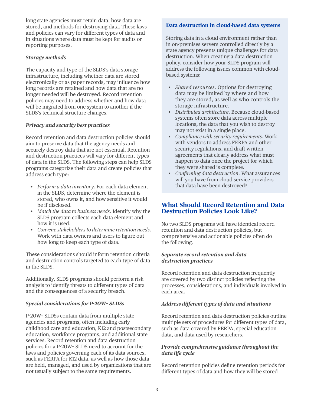<span id="page-3-0"></span>long state agencies must retain data, how data are stored, and methods for destroying data. These laws and policies can vary for different types of data and in situations where data must be kept for audits or reporting purposes.

#### *Storage methods*

The capacity and type of the SLDS's data storage infrastructure, including whether data are stored electronically or as paper records, may influence how long records are retained and how data that are no longer needed will be destroyed. Record retention policies may need to address whether and how data will be migrated from one system to another if the SLDS's technical structure changes.

#### *Privacy and security best practices*

Record retention and data destruction policies should aim to preserve data that the agency needs and securely destroy data that are not essential. Retention and destruction practices will vary for different types of data in the SLDS. The following steps can help SLDS programs categorize their data and create policies that address each type:

- *Perform a data inventory*. For each data element in the SLDS, determine where the element is stored, who owns it, and how sensitive it would be if disclosed.
- *Match the data to business needs*. Identify why the SLDS program collects each data element and how it is used.
- *Convene stakeholders to determine retention needs*. Work with data owners and users to figure out how long to keep each type of data.

These considerations should inform retention criteria and destruction controls targeted to each type of data in the SLDS.

Additionally, SLDS programs should perform a risk analysis to identify threats to different types of data and the consequences of a security breach.

#### *Special considerations for P-20W+ SLDSs*

P-20W+ SLDSs contain data from multiple state agencies and programs, often including early childhood care and education, K12 and postsecondary education, workforce programs, and additional state services. Record retention and data destruction policies for a P-20W+ SLDS need to account for the laws and policies governing each of its data sources, such as FERPA for K12 data, as well as how those data are held, managed, and used by organizations that are not usually subject to the same requirements.

#### **Data destruction in cloud-based data systems**

Storing data in a cloud environment rather than in on-premises servers controlled directly by a state agency presents unique challenges for data destruction. When creating a data destruction policy, consider how your SLDS program will address the following issues common with cloudbased systems:

- *Shared resources*. Options for destroying data may be limited by where and how they are stored, as well as who controls the storage infrastructure.
- *Distributed architecture*. Because cloud-based systems often store data across multiple locations, the data that you wish to destroy may not exist in a single place.
- *Compliance with security requirements*. Work with vendors to address FERPA and other security regulations, and draft written agreements that clearly address what must happen to data once the project for which they were shared is complete.
- *Confirming data destruction*. What assurances will you have from cloud service providers that data have been destroyed?

# **What Should Record Retention and Data Destruction Policies Look Like?**

No two SLDS programs will have identical record retention and data destruction policies, but comprehensive and actionable policies often do the following.

#### *Separate record retention and data destruction practices*

Record retention and data destruction frequently are covered by two distinct policies reflecting the processes, considerations, and individuals involved in each area.

#### *Address different types of data and situations*

Record retention and data destruction policies outline multiple sets of procedures for different types of data, such as data covered by FERPA, special education data, and data used by researchers.

#### *Provide comprehensive guidance throughout the data life cycle*

Record retention policies define retention periods for different types of data and how they will be stored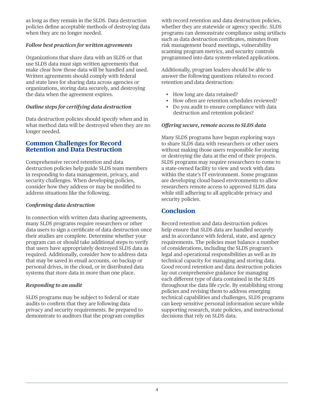<span id="page-4-0"></span>as long as they remain in the SLDS. Data destruction policies define acceptable methods of destroying data when they are no longer needed.

# *Follow best practices for written agreements*

Organizations that share data with an SLDS or that use SLDS data must sign written agreements that make clear how those data will be handled and used. Written agreements should comply with federal and state laws for sharing data across agencies or organizations, storing data securely, and destroying the data when the agreement expires.

# *Outline steps for certifying data destruction*

Data destruction policies should specify when and in what method data will be destroyed when they are no longer needed.

# **Common Challenges for Record Retention and Data Destruction**

Comprehensive record retention and data destruction policies help guide SLDS team members in responding to data management, privacy, and security challenges. When developing policies, consider how they address or may be modified to address situations like the following.

# *Confirming data destruction*

In connection with written data sharing agreements, many SLDS programs require researchers or other data users to sign a certificate of data destruction once their studies are complete. Determine whether your program can or should take additional steps to verify that users have appropriately destroyed SLDS data as required. Additionally, consider how to address data that may be saved in email accounts, on backup or personal drives, in the cloud, or in distributed data systems that store data in more than one place.

# *Responding to an audit*

SLDS programs may be subject to federal or state audits to confirm that they are following data privacy and security requirements. Be prepared to demonstrate to auditors that the program complies with record retention and data destruction policies, whether they are statewide or agency specific. SLDS programs can demonstrate compliance using artifacts such as data destruction certificates, minutes from risk management board meetings, vulnerability scanning program metrics, and security controls programmed into data system-related applications.

Additionally, program leaders should be able to answer the following questions related to record retention and data destruction:

- How long are data retained?
- How often are retention schedules reviewed?
- Do you audit to ensure compliance with data destruction and retention policies?

# *Offering secure, remote access to SLDS data*

Many SLDS programs have begun exploring ways to share SLDS data with researchers or other users without making those users responsible for storing or destroying the data at the end of their projects. SLDS programs may require researchers to come to a state-owned facility to view and work with data within the state's IT environment. Some programs are developing cloud-based environments to allow researchers remote access to approved SLDS data while still adhering to all applicable privacy and security policies.

# **Conclusion**

Record retention and data destruction polices help ensure that SLDS data are handled securely and in accordance with federal, state, and agency requirements. The policies must balance a number of considerations, including the SLDS program's legal and operational responsibilities as well as its technical capacity for managing and storing data. Good record retention and data destruction policies lay out comprehensive guidance for managing each different type of data contained in the SLDS throughout the data life cycle. By establishing strong policies and revising them to address emerging technical capabilities and challenges, SLDS programs can keep sensitive personal information secure while supporting research, state policies, and instructional decisions that rely on SLDS data.